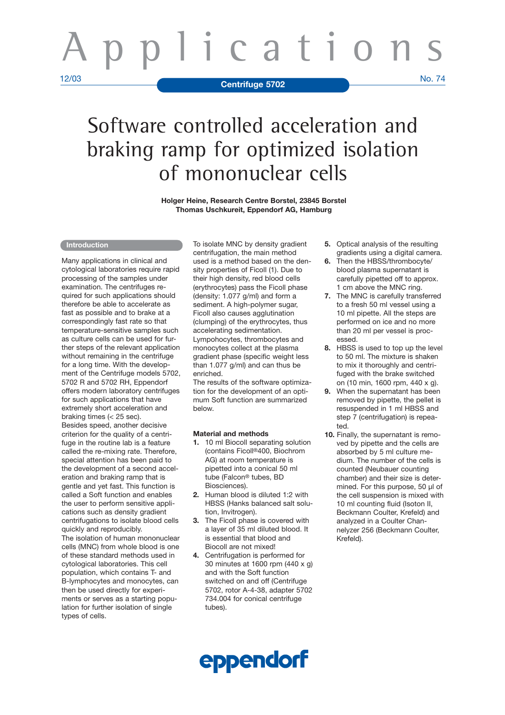# icati 12/03 No. 74 **Centrifuge 5702**

## Software controlled acceleration and braking ramp for optimized isolation of mononuclear cells

**Holger Heine, Research Centre Borstel, 23845 Borstel Thomas Uschkureit, Eppendorf AG, Hamburg**

#### **Introduction**

Many applications in clinical and cytological laboratories require rapid processing of the samples under examination. The centrifuges required for such applications should therefore be able to accelerate as fast as possible and to brake at a correspondingly fast rate so that temperature-sensitive samples such as culture cells can be used for further steps of the relevant application without remaining in the centrifuge for a long time. With the development of the Centrifuge models 5702, 5702 R and 5702 RH, Eppendorf offers modern laboratory centrifuges for such applications that have extremely short acceleration and braking times (< 25 sec). Besides speed, another decisive

criterion for the quality of a centrifuge in the routine lab is a feature called the re-mixing rate. Therefore, special attention has been paid to the development of a second acceleration and braking ramp that is gentle and yet fast. This function is called a Soft function and enables the user to perform sensitive applications such as density gradient centrifugations to isolate blood cells quickly and reproducibly.

The isolation of human mononuclear cells (MNC) from whole blood is one of these standard methods used in cytological laboratories. This cell population, which contains T- and B-lymphocytes and monocytes, can then be used directly for experiments or serves as a starting population for further isolation of single types of cells.

To isolate MNC by density gradient centrifugation, the main method used is a method based on the density properties of Ficoll (1). Due to their high density, red blood cells (erythrocytes) pass the Ficoll phase (density: 1.077 g/ml) and form a sediment. A high-polymer sugar, Ficoll also causes agglutination (clumping) of the erythrocytes, thus accelerating sedimentation. Lympohocytes, thrombocytes and monocytes collect at the plasma gradient phase (specific weight less than 1.077 g/ml) and can thus be enriched.

The results of the software optimization for the development of an optimum Soft function are summarized below.

#### **Material and methods**

- **1.** 10 ml Biocoll separating solution (contains Ficoll®400, Biochrom AG) at room temperature is pipetted into a conical 50 ml tube (Falcon® tubes, BD Biosciences).
- **2.** Human blood is diluted 1:2 with HBSS (Hanks balanced salt solution, Invitrogen).
- **3.** The Ficoll phase is covered with a layer of 35 ml diluted blood. It is essential that blood and Biocoll are not mixed!
- **4.** Centrifugation is performed for 30 minutes at 1600 rpm (440 x g) and with the Soft function switched on and off (Centrifuge 5702, rotor A-4-38, adapter 5702 734.004 for conical centrifuge tubes).
- **5.** Optical analysis of the resulting gradients using a digital camera.
- **6.** Then the HBSS/thrombocyte/ blood plasma supernatant is carefully pipetted off to approx. 1 cm above the MNC ring.
- **7.** The MNC is carefully transferred to a fresh 50 ml vessel using a 10 ml pipette. All the steps are performed on ice and no more than 20 ml per vessel is processed.
- **8.** HBSS is used to top up the level to 50 ml. The mixture is shaken to mix it thoroughly and centrifuged with the brake switched on (10 min, 1600 rpm, 440 x g).
- **9.** When the supernatant has been removed by pipette, the pellet is resuspended in 1 ml HBSS and step 7 (centrifugation) is repeated.
- **10.** Finally, the supernatant is removed by pipette and the cells are absorbed by 5 ml culture medium. The number of the cells is counted (Neubauer counting chamber) and their size is determined. For this purpose, 50 µl of the cell suspension is mixed with 10 ml counting fluid (Isoton II, Beckmann Coulter, Krefeld) and analyzed in a Coulter Channelyzer 256 (Beckmann Coulter, Krefeld).

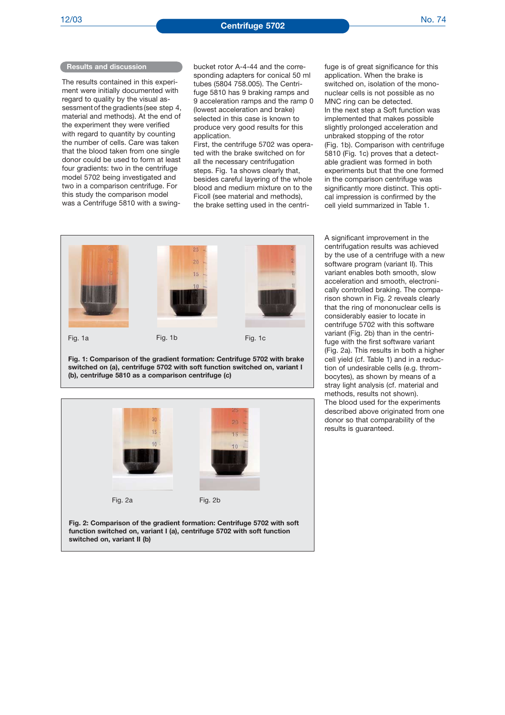#### **Results and discussion**

The results contained in this experiment were initially documented with regard to quality by the visual assessment of the gradients (see step 4, material and methods). At the end of the experiment they were verified with regard to quantity by counting the number of cells. Care was taken that the blood taken from one single donor could be used to form at least four gradients: two in the centrifuge model 5702 being investigated and two in a comparison centrifuge. For this study the comparison model was a Centrifuge 5810 with a swingbucket rotor A-4-44 and the corresponding adapters for conical 50 ml tubes (5804 758.005). The Centrifuge 5810 has 9 braking ramps and 9 acceleration ramps and the ramp 0 (lowest acceleration and brake) selected in this case is known to produce very good results for this application.

First, the centrifuge 5702 was operated with the brake switched on for all the necessary centrifugation steps. Fig. 1a shows clearly that, besides careful layering of the whole blood and medium mixture on to the Ficoll (see material and methods), the brake setting used in the centrifuge is of great significance for this application. When the brake is switched on, isolation of the mononuclear cells is not possible as no MNC ring can be detected. In the next step a Soft function was implemented that makes possible slightly prolonged acceleration and unbraked stopping of the rotor (Fig. 1b). Comparison with centrifuge 5810 (Fig. 1c) proves that a detectable gradient was formed in both experiments but that the one formed in the comparison centrifuge was significantly more distinct. This optical impression is confirmed by the cell yield summarized in Table 1.



**Fig. 1: Comparison of the gradient formation: Centrifuge 5702 with brake switched on (a), centrifuge 5702 with soft function switched on, variant I (b), centrifuge 5810 as a comparison centrifuge (c)**



**function switched on, variant I (a), centrifuge 5702 with soft function switched on, variant II (b)**

A significant improvement in the centrifugation results was achieved by the use of a centrifuge with a new software program (variant II). This variant enables both smooth, slow acceleration and smooth, electronically controlled braking. The comparison shown in Fig. 2 reveals clearly that the ring of mononuclear cells is considerably easier to locate in centrifuge 5702 with this software variant (Fig. 2b) than in the centrifuge with the first software variant (Fig. 2a). This results in both a higher cell yield (cf. Table 1) and in a reduction of undesirable cells (e.g. thrombocytes), as shown by means of a stray light analysis (cf. material and methods, results not shown). The blood used for the experiments described above originated from one donor so that comparability of the results is guaranteed.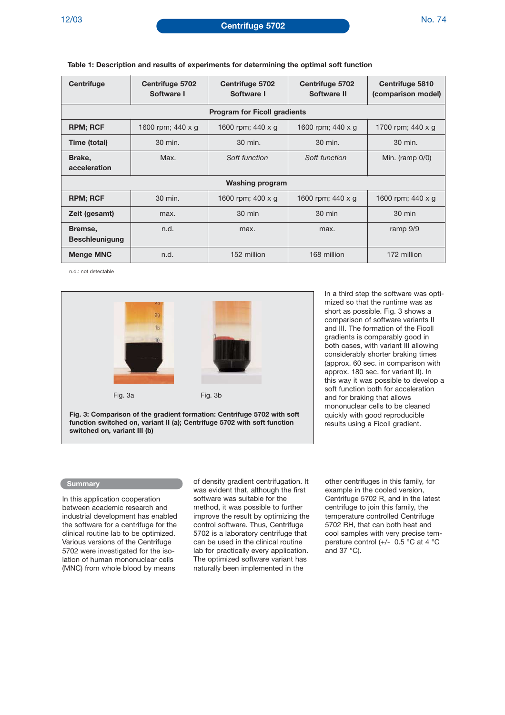| Centrifuge                          | Centrifuge 5702<br>Software I | Centrifuge 5702<br>Software I | Centrifuge 5702<br>Software II | Centrifuge 5810<br>(comparison model) |  |
|-------------------------------------|-------------------------------|-------------------------------|--------------------------------|---------------------------------------|--|
| <b>Program for Ficoll gradients</b> |                               |                               |                                |                                       |  |
| <b>RPM; RCF</b>                     | 1600 rpm; 440 x g             | 1600 rpm; 440 x g             | 1600 rpm; 440 x g              | 1700 rpm; 440 x g                     |  |
| Time (total)                        | 30 min.                       | 30 min.                       | 30 min.                        | 30 min.                               |  |
| Brake,<br>acceleration              | Max.                          | Soft function                 | Soft function                  | Min. (ramp 0/0)                       |  |
| <b>Washing program</b>              |                               |                               |                                |                                       |  |
| <b>RPM; RCF</b>                     | 30 min.                       | 1600 rpm; $400 \times q$      | 1600 rpm; 440 x g              | 1600 rpm; 440 x g                     |  |
| Zeit (gesamt)                       | max.                          | 30 min                        | 30 min                         | $30 \text{ min}$                      |  |
| Bremse,<br><b>Beschleunigung</b>    | n.d.                          | max.                          | max.                           | ramp 9/9                              |  |
| <b>Menge MNC</b>                    | n.d.                          | 152 million                   | 168 million                    | 172 million                           |  |

**Table 1: Description and results of experiments for determining the optimal soft function** 

n.d.: not detectable



**Fig. 3: Comparison of the gradient formation: Centrifuge 5702 with soft function switched on, variant II (a); Centrifuge 5702 with soft function switched on, variant III (b)**

In a third step the software was optimized so that the runtime was as short as possible. Fig. 3 shows a comparison of software variants II and III. The formation of the Ficoll gradients is comparably good in both cases, with variant III allowing considerably shorter braking times (approx. 60 sec. in comparison with approx. 180 sec. for variant II). In this way it was possible to develop a soft function both for acceleration and for braking that allows mononuclear cells to be cleaned quickly with good reproducible results using a Ficoll gradient.

#### **Summary**

In this application cooperation between academic research and industrial development has enabled the software for a centrifuge for the clinical routine lab to be optimized. Various versions of the Centrifuge 5702 were investigated for the isolation of human mononuclear cells (MNC) from whole blood by means

of density gradient centrifugation. It was evident that, although the first software was suitable for the method, it was possible to further improve the result by optimizing the control software. Thus, Centrifuge 5702 is a laboratory centrifuge that can be used in the clinical routine lab for practically every application. The optimized software variant has naturally been implemented in the

other centrifuges in this family, for example in the cooled version, Centrifuge 5702 R, and in the latest centrifuge to join this family, the temperature controlled Centrifuge 5702 RH, that can both heat and cool samples with very precise temperature control (+/- 0.5 °C at 4 °C and 37 °C).